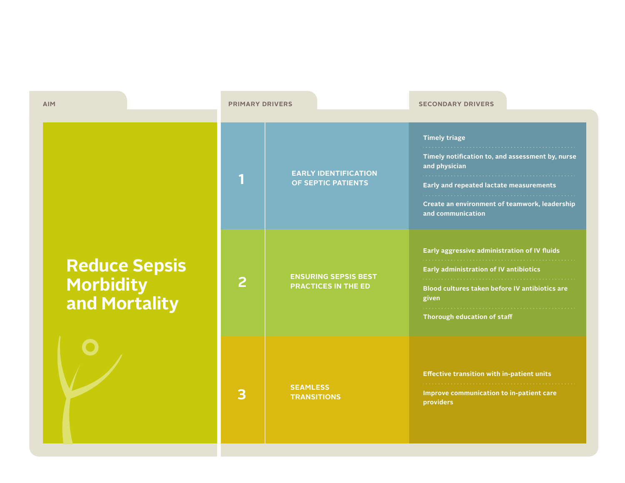| <b>AIM</b>                                           | <b>PRIMARY DRIVERS</b> |                                                           | <b>SECONDARY DRIVERS</b>                                                                                                                                                                                   |
|------------------------------------------------------|------------------------|-----------------------------------------------------------|------------------------------------------------------------------------------------------------------------------------------------------------------------------------------------------------------------|
|                                                      | 1                      | <b>EARLY IDENTIFICATION</b><br>OF SEPTIC PATIENTS         | <b>Timely triage</b><br>Timely notification to, and assessment by, nurse<br>and physician<br>Early and repeated lactate measurements<br>Create an environment of teamwork, leadership<br>and communication |
| <b>Reduce Sepsis<br/>Morbidity<br/>and Mortality</b> | $\overline{2}$         | <b>ENSURING SEPSIS BEST</b><br><b>PRACTICES IN THE ED</b> | Early aggressive administration of IV fluids<br>Early administration of IV antibiotics<br>Blood cultures taken before IV antibiotics are<br>given<br>Thorough education of staff                           |
|                                                      | 3                      | <b>SEAMLESS</b><br><b>TRANSITIONS</b>                     | <b>Effective transition with in-patient units</b><br>Improve communication to in-patient care<br><b>providers</b>                                                                                          |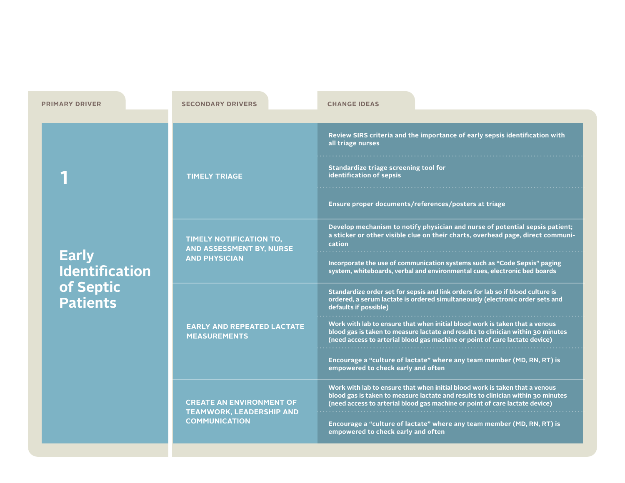| <b>PRIMARY DRIVER</b>                                                 | <b>SECONDARY DRIVERS</b>                                           | <b>CHANGE IDEAS</b>                                                                                                                                                                                                                            |
|-----------------------------------------------------------------------|--------------------------------------------------------------------|------------------------------------------------------------------------------------------------------------------------------------------------------------------------------------------------------------------------------------------------|
|                                                                       |                                                                    |                                                                                                                                                                                                                                                |
| <b>Early</b><br><b>Identification</b><br>of Septic<br><b>Patients</b> | <b>TIMELY TRIAGE</b>                                               | Review SIRS criteria and the importance of early sepsis identification with<br>all triage nurses<br>Standardize triage screening tool for<br>identification of sepsis                                                                          |
|                                                                       |                                                                    | Ensure proper documents/references/posters at triage                                                                                                                                                                                           |
|                                                                       | TIMELY NOTIFICATION TO,<br>AND ASSESSMENT BY, NURSE                | Develop mechanism to notify physician and nurse of potential sepsis patient;<br>a sticker or other visible clue on their charts, overhead page, direct communi-<br>cation                                                                      |
|                                                                       | <b>AND PHYSICIAN</b>                                               | Incorporate the use of communication systems such as "Code Sepsis" paging<br>system, whiteboards, verbal and environmental cues, electronic bed boards                                                                                         |
|                                                                       |                                                                    | Standardize order set for sepsis and link orders for lab so if blood culture is<br>ordered, a serum lactate is ordered simultaneously (electronic order sets and<br>defaults if possible)                                                      |
|                                                                       | <b>EARLY AND REPEATED LACTATE</b><br><b>MEASUREMENTS</b>           | Work with lab to ensure that when initial blood work is taken that a venous<br>blood gas is taken to measure lactate and results to clinician within 30 minutes<br>(need access to arterial blood gas machine or point of care lactate device) |
|                                                                       |                                                                    | Encourage a "culture of lactate" where any team member (MD, RN, RT) is<br>empowered to check early and often                                                                                                                                   |
|                                                                       | <b>CREATE AN ENVIRONMENT OF</b><br><b>TEAMWORK, LEADERSHIP AND</b> | Work with lab to ensure that when initial blood work is taken that a venous<br>blood gas is taken to measure lactate and results to clinician within 30 minutes<br>(need access to arterial blood gas machine or point of care lactate device) |
|                                                                       | <b>COMMUNICATION</b>                                               | Encourage a "culture of lactate" where any team member (MD, RN, RT) is<br>empowered to check early and often                                                                                                                                   |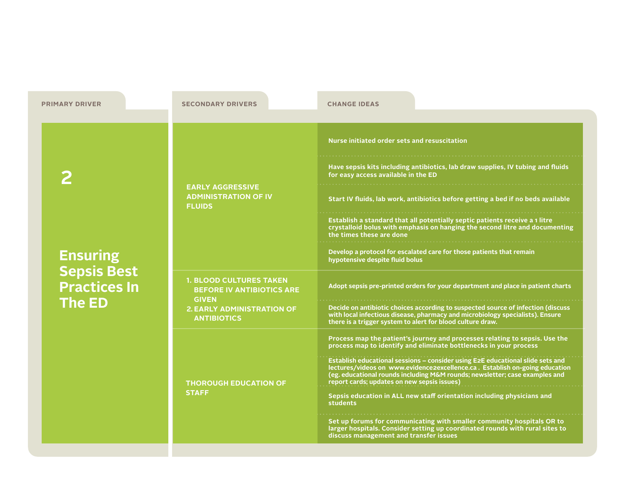| <b>PRIMARY DRIVER</b>                                                         | <b>SECONDARY DRIVERS</b>                                                                                                                      | <b>CHANGE IDEAS</b>                                                                                                                                                                                                                                                                         |
|-------------------------------------------------------------------------------|-----------------------------------------------------------------------------------------------------------------------------------------------|---------------------------------------------------------------------------------------------------------------------------------------------------------------------------------------------------------------------------------------------------------------------------------------------|
|                                                                               |                                                                                                                                               |                                                                                                                                                                                                                                                                                             |
| <b>Ensuring</b><br><b>Sepsis Best</b><br><b>Practices In</b><br><b>The ED</b> |                                                                                                                                               | Nurse initiated order sets and resuscitation                                                                                                                                                                                                                                                |
|                                                                               | <b>EARLY AGGRESSIVE</b><br><b>ADMINISTRATION OF IV</b><br><b>FLUIDS</b>                                                                       | Have sepsis kits including antibiotics, lab draw supplies, IV tubing and fluids<br>for easy access available in the ED                                                                                                                                                                      |
|                                                                               |                                                                                                                                               | Start IV fluids, lab work, antibiotics before getting a bed if no beds available                                                                                                                                                                                                            |
|                                                                               |                                                                                                                                               | Establish a standard that all potentially septic patients receive a 1 litre<br>crystalloid bolus with emphasis on hanging the second litre and documenting<br>the times these are done                                                                                                      |
|                                                                               |                                                                                                                                               | Develop a protocol for escalated care for those patients that remain<br>hypotensive despite fluid bolus                                                                                                                                                                                     |
|                                                                               | <b>1. BLOOD CULTURES TAKEN</b><br><b>BEFORE IV ANTIBIOTICS ARE</b><br><b>GIVEN</b><br><b>2. EARLY ADMINISTRATION OF</b><br><b>ANTIBIOTICS</b> | Adopt sepsis pre-printed orders for your department and place in patient charts                                                                                                                                                                                                             |
|                                                                               |                                                                                                                                               | Decide on antibiotic choices according to suspected source of infection (discuss)<br>with local infectious disease, pharmacy and microbiology specialists). Ensure<br>there is a trigger system to alert for blood culture draw.                                                            |
|                                                                               |                                                                                                                                               | Process map the patient's journey and processes relating to sepsis. Use the<br>process map to identify and eliminate bottlenecks in your process                                                                                                                                            |
|                                                                               | <b>THOROUGH EDUCATION OF</b><br><b>STAFF</b>                                                                                                  | Establish educational sessions - consider using E2E educational slide sets and<br>lectures/videos on www.evidence2excellence.ca. Establish on-going education<br>(eg. educational rounds including M&M rounds; newsletter; case examples and<br>report cards; updates on new sepsis issues) |
|                                                                               |                                                                                                                                               | Sepsis education in ALL new staff orientation including physicians and<br>students                                                                                                                                                                                                          |
|                                                                               |                                                                                                                                               | Set up forums for communicating with smaller community hospitals OR to<br>larger hospitals. Consider setting up coordinated rounds with rural sites to<br>discuss management and transfer issues                                                                                            |